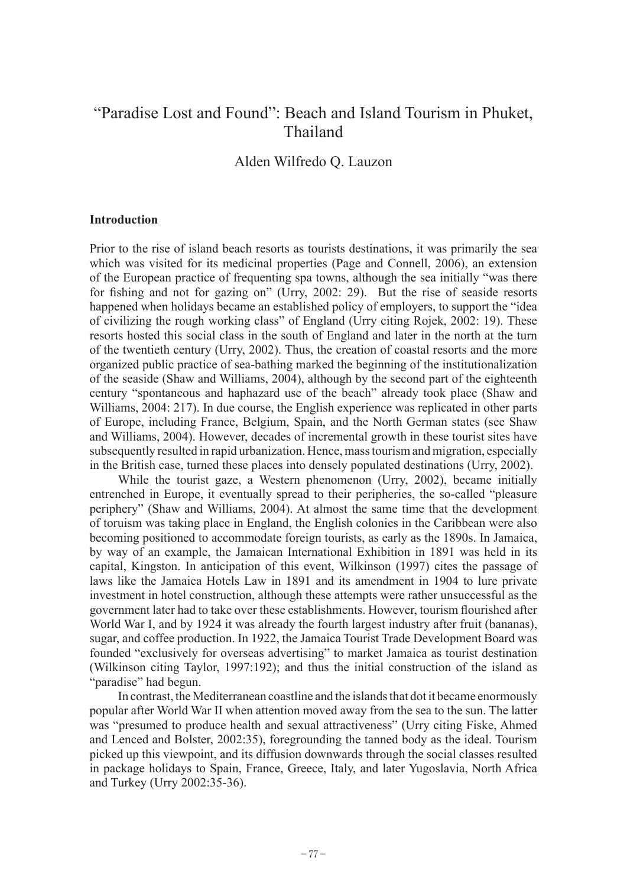## "Paradise Lost and Found": Beach and Island Tourism in Phuket, Thailand

Alden Wilfredo Q. Lauzon

## **Introduction**

Prior to the rise of island beach resorts as tourists destinations, it was primarily the sea which was visited for its medicinal properties (Page and Connell, 2006), an extension of the European practice of frequenting spa towns, although the sea initially "was there for fishing and not for gazing on" (Urry, 2002: 29). But the rise of seaside resorts happened when holidays became an established policy of employers, to support the "idea of civilizing the rough working class" of England (Urry citing Rojek, 2002: 19). These resorts hosted this social class in the south of England and later in the north at the turn of the twentieth century (Urry, 2002). Thus, the creation of coastal resorts and the more organized public practice of sea-bathing marked the beginning of the institutionalization of the seaside (Shaw and Williams, 2004), although by the second part of the eighteenth century "spontaneous and haphazard use of the beach" already took place (Shaw and Williams, 2004: 217). In due course, the English experience was replicated in other parts of Europe, including France, Belgium, Spain, and the North German states (see Shaw and Williams, 2004). However, decades of incremental growth in these tourist sites have subsequently resulted in rapid urbanization. Hence, mass tourism and migration, especially in the British case, turned these places into densely populated destinations (Urry, 2002).

While the tourist gaze, a Western phenomenon (Urry, 2002), became initially entrenched in Europe, it eventually spread to their peripheries, the so-called "pleasure periphery" (Shaw and Williams, 2004). At almost the same time that the development of toruism was taking place in England, the English colonies in the Caribbean were also becoming positioned to accommodate foreign tourists, as early as the 1890s. In Jamaica, by way of an example, the Jamaican International Exhibition in 1891 was held in its capital, Kingston. In anticipation of this event, Wilkinson (1997) cites the passage of laws like the Jamaica Hotels Law in 1891 and its amendment in 1904 to lure private investment in hotel construction, although these attempts were rather unsuccessful as the government later had to take over these establishments. However, tourism flourished after World War I, and by 1924 it was already the fourth largest industry after fruit (bananas), sugar, and coffee production. In 1922, the Jamaica Tourist Trade Development Board was founded "exclusively for overseas advertising" to market Jamaica as tourist destination (Wilkinson citing Taylor, 1997:192); and thus the initial construction of the island as "paradise" had begun.

In contrast, the Mediterranean coastline and the islands that dot it became enormously popular after World War II when attention moved away from the sea to the sun. The latter was "presumed to produce health and sexual attractiveness" (Urry citing Fiske, Ahmed and Lenced and Bolster, 2002:35), foregrounding the tanned body as the ideal. Tourism picked up this viewpoint, and its diffusion downwards through the social classes resulted in package holidays to Spain, France, Greece, Italy, and later Yugoslavia, North Africa and Turkey (Urry 2002:35-36).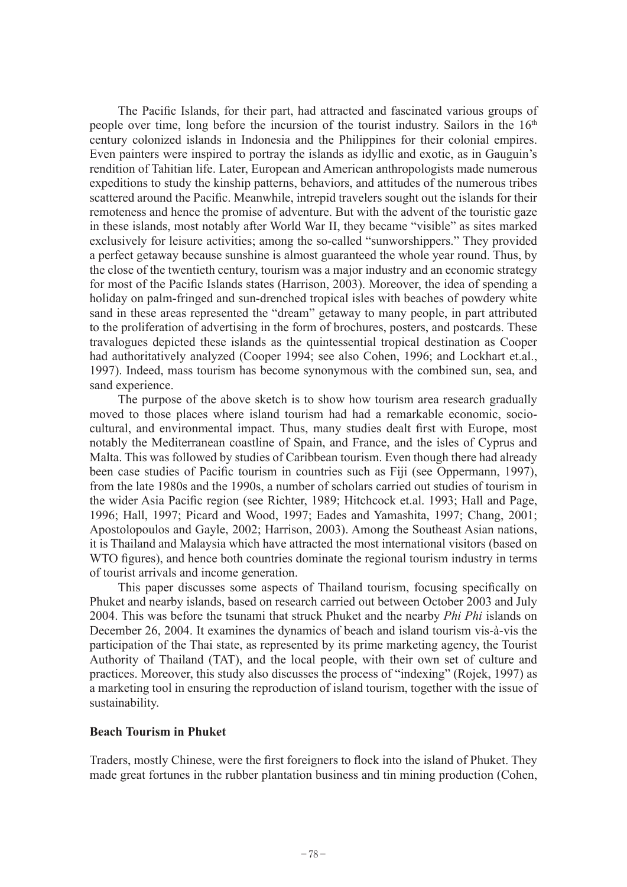The Pacific Islands, for their part, had attracted and fascinated various groups of people over time, long before the incursion of the tourist industry. Sailors in the 16<sup>th</sup> century colonized islands in Indonesia and the Philippines for their colonial empires. Even painters were inspired to portray the islands as idyllic and exotic, as in Gauguin's rendition of Tahitian life. Later, European and American anthropologists made numerous expeditions to study the kinship patterns, behaviors, and attitudes of the numerous tribes scattered around the Pacific. Meanwhile, intrepid travelers sought out the islands for their remoteness and hence the promise of adventure. But with the advent of the touristic gaze in these islands, most notably after World War II, they became "visible" as sites marked exclusively for leisure activities; among the so-called "sunworshippers." They provided a perfect getaway because sunshine is almost guaranteed the whole year round. Thus, by the close of the twentieth century, tourism was a major industry and an economic strategy for most of the Pacific Islands states (Harrison, 2003). Moreover, the idea of spending a holiday on palm-fringed and sun-drenched tropical isles with beaches of powdery white sand in these areas represented the "dream" getaway to many people, in part attributed to the proliferation of advertising in the form of brochures, posters, and postcards. These travalogues depicted these islands as the quintessential tropical destination as Cooper had authoritatively analyzed (Cooper 1994; see also Cohen, 1996; and Lockhart et.al., 1997). Indeed, mass tourism has become synonymous with the combined sun, sea, and sand experience.

The purpose of the above sketch is to show how tourism area research gradually moved to those places where island tourism had had a remarkable economic, sociocultural, and environmental impact. Thus, many studies dealt first with Europe, most notably the Mediterranean coastline of Spain, and France, and the isles of Cyprus and Malta. This was followed by studies of Caribbean tourism. Even though there had already been case studies of Pacific tourism in countries such as Fiji (see Oppermann, 1997), from the late 1980s and the 1990s, a number of scholars carried out studies of tourism in the wider Asia Pacific region (see Richter, 1989; Hitchcock et.al. 1993; Hall and Page, 1996; Hall, 1997; Picard and Wood, 1997; Eades and Yamashita, 1997; Chang, 2001; Apostolopoulos and Gayle, 2002; Harrison, 2003). Among the Southeast Asian nations, it is Thailand and Malaysia which have attracted the most international visitors (based on WTO figures), and hence both countries dominate the regional tourism industry in terms of tourist arrivals and income generation.

This paper discusses some aspects of Thailand tourism, focusing specifically on Phuket and nearby islands, based on research carried out between October 2003 and July 2004. This was before the tsunami that struck Phuket and the nearby *Phi Phi* islands on December 26, 2004. It examines the dynamics of beach and island tourism vis-à-vis the participation of the Thai state, as represented by its prime marketing agency, the Tourist Authority of Thailand (TAT), and the local people, with their own set of culture and practices. Moreover, this study also discusses the process of "indexing" (Rojek, 1997) as a marketing tool in ensuring the reproduction of island tourism, together with the issue of sustainability.

## **Beach Tourism in Phuket**

Traders, mostly Chinese, were the first foreigners to flock into the island of Phuket. They made great fortunes in the rubber plantation business and tin mining production (Cohen,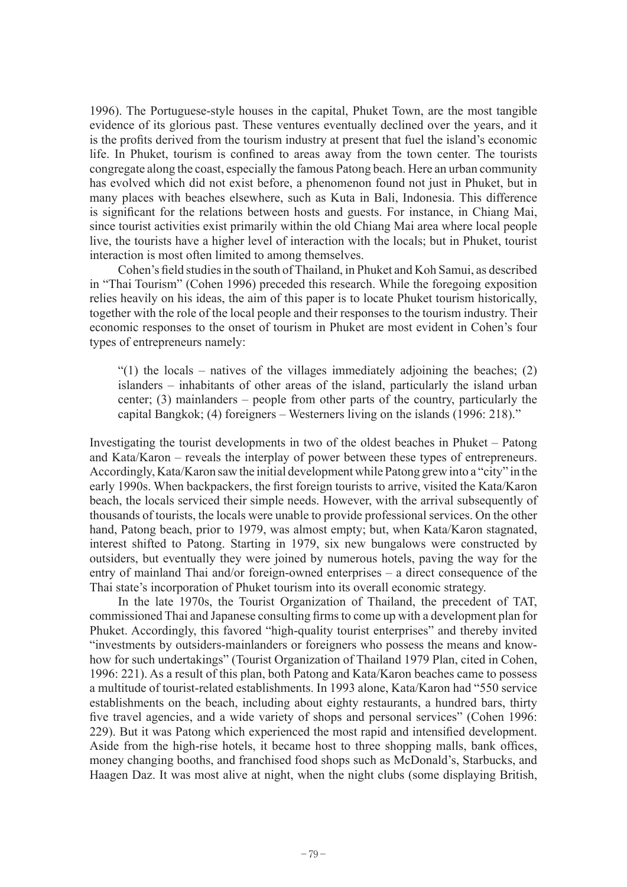1996). The Portuguese-style houses in the capital, Phuket Town, are the most tangible evidence of its glorious past. These ventures eventually declined over the years, and it is the profits derived from the tourism industry at present that fuel the island's economic life. In Phuket, tourism is confined to areas away from the town center. The tourists congregate along the coast, especially the famous Patong beach. Here an urban community has evolved which did not exist before, a phenomenon found not just in Phuket, but in many places with beaches elsewhere, such as Kuta in Bali, Indonesia. This difference is significant for the relations between hosts and guests. For instance, in Chiang Mai, since tourist activities exist primarily within the old Chiang Mai area where local people live, the tourists have a higher level of interaction with the locals; but in Phuket, tourist interaction is most often limited to among themselves.

Cohen's field studies in the south of Thailand, in Phuket and Koh Samui, as described in "Thai Tourism" (Cohen 1996) preceded this research. While the foregoing exposition relies heavily on his ideas, the aim of this paper is to locate Phuket tourism historically, together with the role of the local people and their responses to the tourism industry. Their economic responses to the onset of tourism in Phuket are most evident in Cohen's four types of entrepreneurs namely:

 $\degree$ (1) the locals – natives of the villages immediately adjoining the beaches; (2) islanders – inhabitants of other areas of the island, particularly the island urban center; (3) mainlanders – people from other parts of the country, particularly the capital Bangkok; (4) foreigners – Westerners living on the islands (1996: 218)."

Investigating the tourist developments in two of the oldest beaches in Phuket – Patong and Kata/Karon – reveals the interplay of power between these types of entrepreneurs. Accordingly, Kata/Karon saw the initial development while Patong grew into a "city" in the early 1990s. When backpackers, the first foreign tourists to arrive, visited the Kata/Karon beach, the locals serviced their simple needs. However, with the arrival subsequently of thousands of tourists, the locals were unable to provide professional services. On the other hand, Patong beach, prior to 1979, was almost empty; but, when Kata/Karon stagnated, interest shifted to Patong. Starting in 1979, six new bungalows were constructed by outsiders, but eventually they were joined by numerous hotels, paving the way for the entry of mainland Thai and/or foreign-owned enterprises – a direct consequence of the Thai state's incorporation of Phuket tourism into its overall economic strategy.

In the late 1970s, the Tourist Organization of Thailand, the precedent of TAT, commissioned Thai and Japanese consulting firms to come up with a development plan for Phuket. Accordingly, this favored "high-quality tourist enterprises" and thereby invited "investments by outsiders-mainlanders or foreigners who possess the means and knowhow for such undertakings" (Tourist Organization of Thailand 1979 Plan, cited in Cohen, 1996: 221). As a result of this plan, both Patong and Kata/Karon beaches came to possess a multitude of tourist-related establishments. In 1993 alone, Kata/Karon had "550 service establishments on the beach, including about eighty restaurants, a hundred bars, thirty five travel agencies, and a wide variety of shops and personal services" (Cohen 1996: 229). But it was Patong which experienced the most rapid and intensified development. Aside from the high-rise hotels, it became host to three shopping malls, bank offices, money changing booths, and franchised food shops such as McDonald's, Starbucks, and Haagen Daz. It was most alive at night, when the night clubs (some displaying British,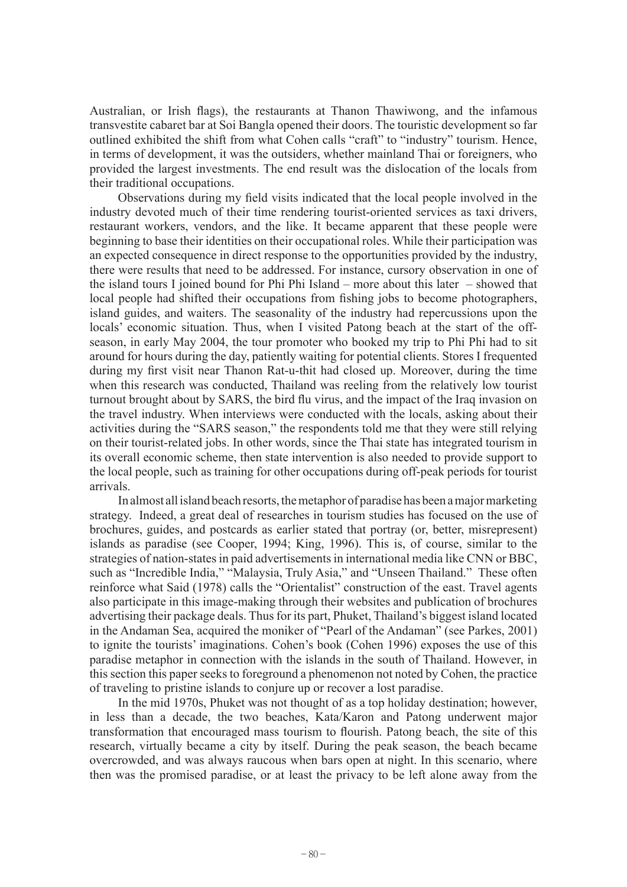Australian, or Irish flags), the restaurants at Thanon Thawiwong, and the infamous transvestite cabaret bar at Soi Bangla opened their doors. The touristic development so far outlined exhibited the shift from what Cohen calls "craft" to "industry" tourism. Hence, in terms of development, it was the outsiders, whether mainland Thai or foreigners, who provided the largest investments. The end result was the dislocation of the locals from their traditional occupations.

Observations during my field visits indicated that the local people involved in the industry devoted much of their time rendering tourist-oriented services as taxi drivers, restaurant workers, vendors, and the like. It became apparent that these people were beginning to base their identities on their occupational roles. While their participation was an expected consequence in direct response to the opportunities provided by the industry, there were results that need to be addressed. For instance, cursory observation in one of the island tours I joined bound for Phi Phi Island – more about this later – showed that local people had shifted their occupations from fishing jobs to become photographers, island guides, and waiters. The seasonality of the industry had repercussions upon the locals' economic situation. Thus, when I visited Patong beach at the start of the offseason, in early May 2004, the tour promoter who booked my trip to Phi Phi had to sit around for hours during the day, patiently waiting for potential clients. Stores I frequented during my first visit near Thanon Rat-u-thit had closed up. Moreover, during the time when this research was conducted, Thailand was reeling from the relatively low tourist turnout brought about by SARS, the bird flu virus, and the impact of the Iraq invasion on the travel industry. When interviews were conducted with the locals, asking about their activities during the "SARS season," the respondents told me that they were still relying on their tourist-related jobs. In other words, since the Thai state has integrated tourism in its overall economic scheme, then state intervention is also needed to provide support to the local people, such as training for other occupations during off-peak periods for tourist arrivals.

In almost all island beach resorts, the metaphor of paradise has been a major marketing strategy. Indeed, a great deal of researches in tourism studies has focused on the use of brochures, guides, and postcards as earlier stated that portray (or, better, misrepresent) islands as paradise (see Cooper, 1994; King, 1996). This is, of course, similar to the strategies of nation-states in paid advertisements in international media like CNN or BBC, such as "Incredible India," "Malaysia, Truly Asia," and "Unseen Thailand." These often reinforce what Said (1978) calls the "Orientalist" construction of the east. Travel agents also participate in this image-making through their websites and publication of brochures advertising their package deals. Thus for its part, Phuket, Thailand's biggest island located in the Andaman Sea, acquired the moniker of "Pearl of the Andaman" (see Parkes, 2001) to ignite the tourists' imaginations. Cohen's book (Cohen 1996) exposes the use of this paradise metaphor in connection with the islands in the south of Thailand. However, in this section this paper seeks to foreground a phenomenon not noted by Cohen, the practice of traveling to pristine islands to conjure up or recover a lost paradise.

In the mid 1970s, Phuket was not thought of as a top holiday destination; however, in less than a decade, the two beaches, Kata/Karon and Patong underwent major transformation that encouraged mass tourism to flourish. Patong beach, the site of this research, virtually became a city by itself. During the peak season, the beach became overcrowded, and was always raucous when bars open at night. In this scenario, where then was the promised paradise, or at least the privacy to be left alone away from the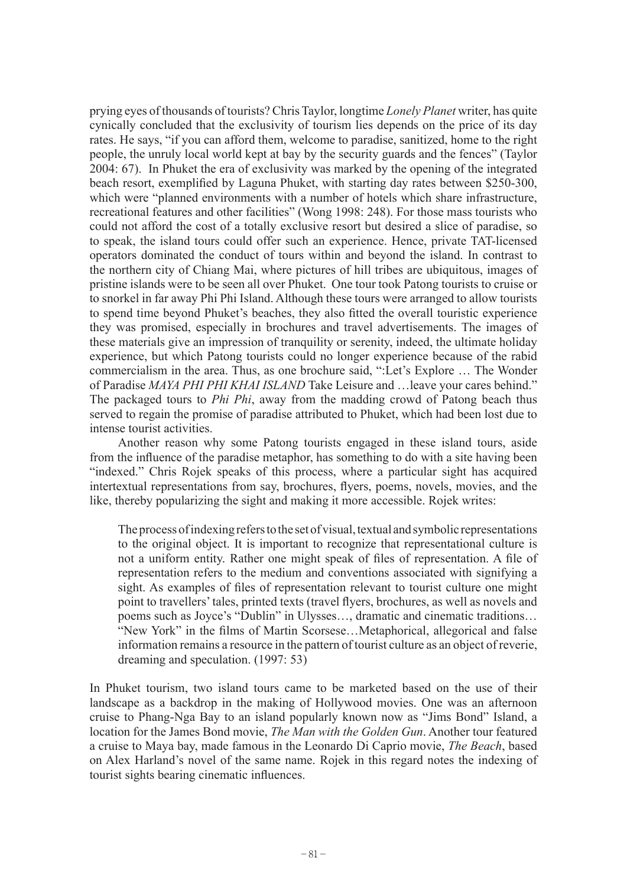prying eyes of thousands of tourists? Chris Taylor, longtime *Lonely Planet* writer, has quite cynically concluded that the exclusivity of tourism lies depends on the price of its day rates. He says, "if you can afford them, welcome to paradise, sanitized, home to the right people, the unruly local world kept at bay by the security guards and the fences" (Taylor 2004: 67). In Phuket the era of exclusivity was marked by the opening of the integrated beach resort, exemplified by Laguna Phuket, with starting day rates between \$250-300, which were "planned environments with a number of hotels which share infrastructure, recreational features and other facilities" (Wong 1998: 248). For those mass tourists who could not afford the cost of a totally exclusive resort but desired a slice of paradise, so to speak, the island tours could offer such an experience. Hence, private TAT-licensed operators dominated the conduct of tours within and beyond the island. In contrast to the northern city of Chiang Mai, where pictures of hill tribes are ubiquitous, images of pristine islands were to be seen all over Phuket. One tour took Patong tourists to cruise or to snorkel in far away Phi Phi Island. Although these tours were arranged to allow tourists to spend time beyond Phuket's beaches, they also fitted the overall touristic experience they was promised, especially in brochures and travel advertisements. The images of these materials give an impression of tranquility or serenity, indeed, the ultimate holiday experience, but which Patong tourists could no longer experience because of the rabid commercialism in the area. Thus, as one brochure said, ":Let's Explore … The Wonder of Paradise *MAYA PHI PHI KHAI ISLAND* Take Leisure and …leave your cares behind." The packaged tours to *Phi Phi*, away from the madding crowd of Patong beach thus served to regain the promise of paradise attributed to Phuket, which had been lost due to intense tourist activities.

Another reason why some Patong tourists engaged in these island tours, aside from the influence of the paradise metaphor, has something to do with a site having been "indexed." Chris Rojek speaks of this process, where a particular sight has acquired intertextual representations from say, brochures, flyers, poems, novels, movies, and the like, thereby popularizing the sight and making it more accessible. Rojek writes:

The process of indexing refers to the set of visual, textual and symbolic representations to the original object. It is important to recognize that representational culture is not a uniform entity. Rather one might speak of files of representation. A file of representation refers to the medium and conventions associated with signifying a sight. As examples of files of representation relevant to tourist culture one might point to travellers' tales, printed texts (travel flyers, brochures, as well as novels and poems such as Joyce's "Dublin" in Ulysses…, dramatic and cinematic traditions… "New York" in the films of Martin Scorsese…Metaphorical, allegorical and false information remains a resource in the pattern of tourist culture as an object of reverie, dreaming and speculation. (1997: 53)

In Phuket tourism, two island tours came to be marketed based on the use of their landscape as a backdrop in the making of Hollywood movies. One was an afternoon cruise to Phang-Nga Bay to an island popularly known now as "Jims Bond" Island, a location for the James Bond movie, *The Man with the Golden Gun*. Another tour featured a cruise to Maya bay, made famous in the Leonardo Di Caprio movie, *The Beach*, based on Alex Harland's novel of the same name. Rojek in this regard notes the indexing of tourist sights bearing cinematic influences.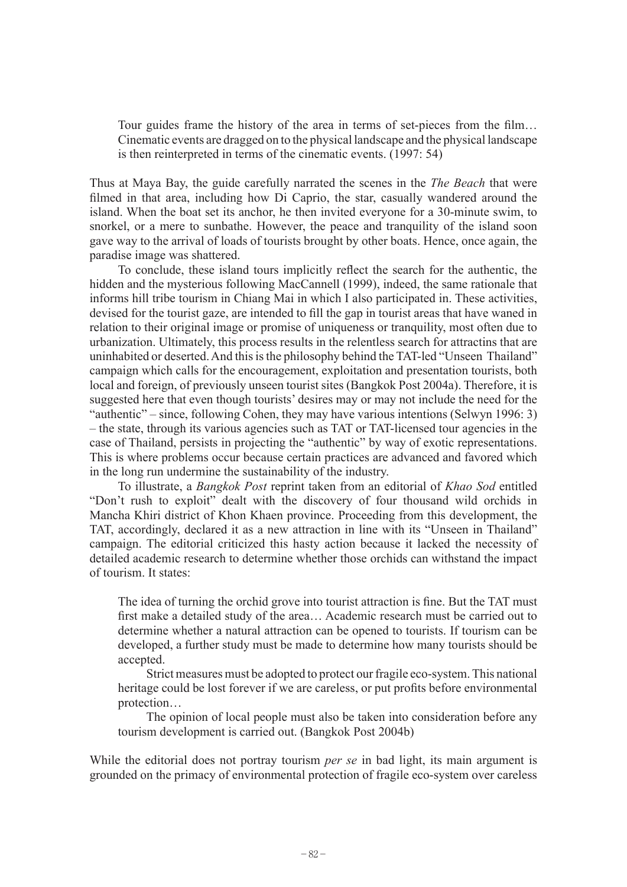Tour guides frame the history of the area in terms of set-pieces from the film… Cinematic events are dragged on to the physical landscape and the physical landscape is then reinterpreted in terms of the cinematic events. (1997: 54)

Thus at Maya Bay, the guide carefully narrated the scenes in the *The Beach* that were filmed in that area, including how Di Caprio, the star, casually wandered around the island. When the boat set its anchor, he then invited everyone for a 30-minute swim, to snorkel, or a mere to sunbathe. However, the peace and tranquility of the island soon gave way to the arrival of loads of tourists brought by other boats. Hence, once again, the paradise image was shattered.

To conclude, these island tours implicitly reflect the search for the authentic, the hidden and the mysterious following MacCannell (1999), indeed, the same rationale that informs hill tribe tourism in Chiang Mai in which I also participated in. These activities, devised for the tourist gaze, are intended to fill the gap in tourist areas that have waned in relation to their original image or promise of uniqueness or tranquility, most often due to urbanization. Ultimately, this process results in the relentless search for attractins that are uninhabited or deserted. And this is the philosophy behind the TAT-led "Unseen Thailand" campaign which calls for the encouragement, exploitation and presentation tourists, both local and foreign, of previously unseen tourist sites (Bangkok Post 2004a). Therefore, it is suggested here that even though tourists' desires may or may not include the need for the "authentic" – since, following Cohen, they may have various intentions (Selwyn 1996: 3) – the state, through its various agencies such as TAT or TAT-licensed tour agencies in the case of Thailand, persists in projecting the "authentic" by way of exotic representations. This is where problems occur because certain practices are advanced and favored which in the long run undermine the sustainability of the industry.

To illustrate, a *Bangkok Post* reprint taken from an editorial of *Khao Sod* entitled "Don't rush to exploit" dealt with the discovery of four thousand wild orchids in Mancha Khiri district of Khon Khaen province. Proceeding from this development, the TAT, accordingly, declared it as a new attraction in line with its "Unseen in Thailand" campaign. The editorial criticized this hasty action because it lacked the necessity of detailed academic research to determine whether those orchids can withstand the impact of tourism. It states:

The idea of turning the orchid grove into tourist attraction is fine. But the TAT must first make a detailed study of the area… Academic research must be carried out to determine whether a natural attraction can be opened to tourists. If tourism can be developed, a further study must be made to determine how many tourists should be accepted.

Strict measures must be adopted to protect our fragile eco-system. This national heritage could be lost forever if we are careless, or put profits before environmental protection…

The opinion of local people must also be taken into consideration before any tourism development is carried out. (Bangkok Post 2004b)

While the editorial does not portray tourism *per se* in bad light, its main argument is grounded on the primacy of environmental protection of fragile eco-system over careless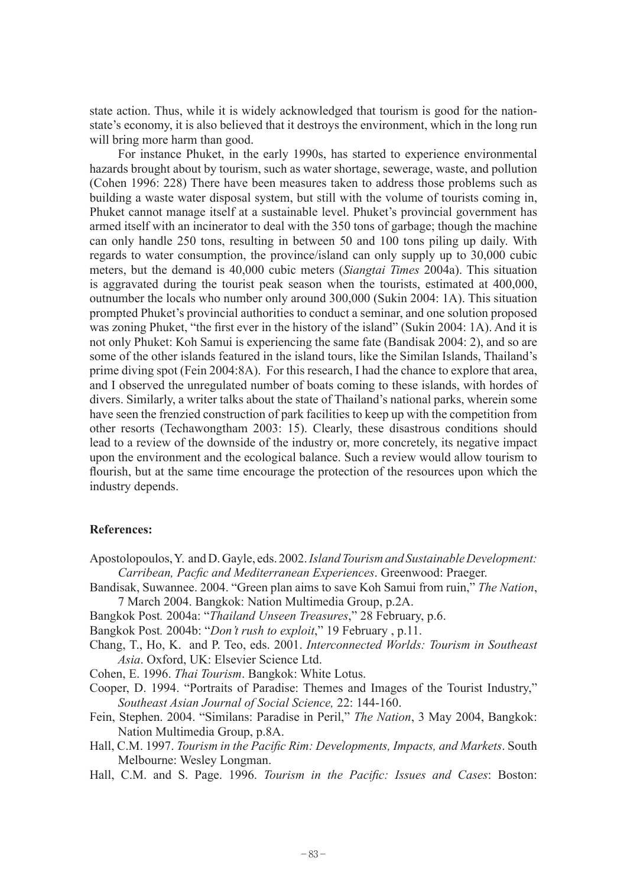state action. Thus, while it is widely acknowledged that tourism is good for the nationstate's economy, it is also believed that it destroys the environment, which in the long run will bring more harm than good.

For instance Phuket, in the early 1990s, has started to experience environmental hazards brought about by tourism, such as water shortage, sewerage, waste, and pollution (Cohen 1996: 228) There have been measures taken to address those problems such as building a waste water disposal system, but still with the volume of tourists coming in, Phuket cannot manage itself at a sustainable level. Phuket's provincial government has armed itself with an incinerator to deal with the 350 tons of garbage; though the machine can only handle 250 tons, resulting in between 50 and 100 tons piling up daily. With regards to water consumption, the province/island can only supply up to 30,000 cubic meters, but the demand is 40,000 cubic meters (*Siangtai Times* 2004a). This situation is aggravated during the tourist peak season when the tourists, estimated at 400,000, outnumber the locals who number only around 300,000 (Sukin 2004: 1A). This situation prompted Phuket's provincial authorities to conduct a seminar, and one solution proposed was zoning Phuket, "the first ever in the history of the island" (Sukin 2004: 1A). And it is not only Phuket: Koh Samui is experiencing the same fate (Bandisak 2004: 2), and so are some of the other islands featured in the island tours, like the Similan Islands, Thailand's prime diving spot (Fein 2004:8A). For this research, I had the chance to explore that area, and I observed the unregulated number of boats coming to these islands, with hordes of divers. Similarly, a writer talks about the state of Thailand's national parks, wherein some have seen the frenzied construction of park facilities to keep up with the competition from other resorts (Techawongtham 2003: 15). Clearly, these disastrous conditions should lead to a review of the downside of the industry or, more concretely, its negative impact upon the environment and the ecological balance. Such a review would allow tourism to flourish, but at the same time encourage the protection of the resources upon which the industry depends.

## **References:**

- Apostolopoulos, Y. and D. Gayle, eds. 2002. *Island Tourism and Sustainable Development: Carribean, Pacfic and Mediterranean Experiences*. Greenwood: Praeger.
- Bandisak, Suwannee. 2004. "Green plan aims to save Koh Samui from ruin," *The Nation*, 7 March 2004. Bangkok: Nation Multimedia Group, p.2A.
- Bangkok Post*.* 2004a: "*Thailand Unseen Treasures*," 28 February, p.6.
- Bangkok Post*.* 2004b: "*Don't rush to exploit*," 19 February , p.11.
- Chang, T., Ho, K. and P. Teo, eds. 2001. *Interconnected Worlds: Tourism in Southeast Asia*. Oxford, UK: Elsevier Science Ltd.
- Cohen, E. 1996. *Thai Tourism*. Bangkok: White Lotus.
- Cooper, D. 1994. "Portraits of Paradise: Themes and Images of the Tourist Industry," *Southeast Asian Journal of Social Science,* 22: 144-160.
- Fein, Stephen. 2004. "Similans: Paradise in Peril," *The Nation*, 3 May 2004, Bangkok: Nation Multimedia Group, p.8A.
- Hall, C.M. 1997. *Tourism in the Pacific Rim: Developments, Impacts, and Markets*. South Melbourne: Wesley Longman.
- Hall, C.M. and S. Page. 1996. *Tourism in the Pacific: Issues and Cases*: Boston: